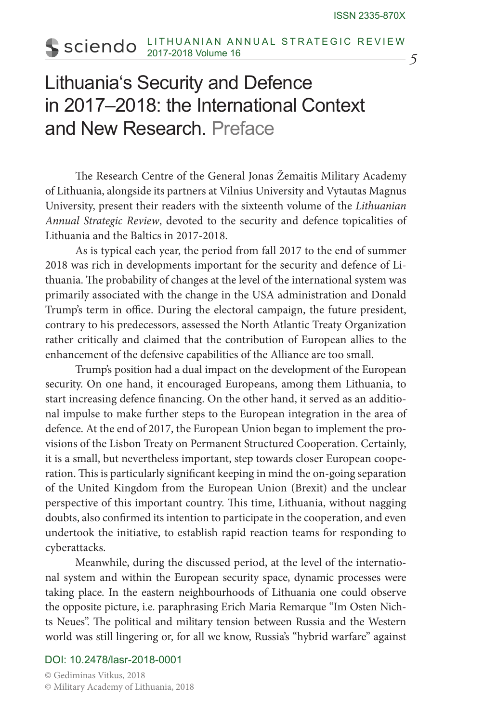## LITHUANIAN ANNUAL STRATEGIC REVIEW sciendo 2017-2018 Volume 16 *5*

## Lithuania's Security and Defence in 2017–2018: the International Context and New Research. Preface

The Research Centre of the General Jonas Žemaitis Military Academy of Lithuania, alongside its partners at Vilnius University and Vytautas Magnus University, present their readers with the sixteenth volume of the *Lithuanian Annual Strategic Review*, devoted to the security and defence topicalities of Lithuania and the Baltics in 2017-2018.

As is typical each year, the period from fall 2017 to the end of summer 2018 was rich in developments important for the security and defence of Lithuania. The probability of changes at the level of the international system was primarily associated with the change in the USA administration and Donald Trump's term in office. During the electoral campaign, the future president, contrary to his predecessors, assessed the North Atlantic Treaty Organization rather critically and claimed that the contribution of European allies to the enhancement of the defensive capabilities of the Alliance are too small.

Trump's position had a dual impact on the development of the European security. On one hand, it encouraged Europeans, among them Lithuania, to start increasing defence financing. On the other hand, it served as an additional impulse to make further steps to the European integration in the area of defence. At the end of 2017, the European Union began to implement the provisions of the Lisbon Treaty on Permanent Structured Cooperation. Certainly, it is a small, but nevertheless important, step towards closer European cooperation. This is particularly significant keeping in mind the on-going separation of the United Kingdom from the European Union (Brexit) and the unclear perspective of this important country. This time, Lithuania, without nagging doubts, also confirmed its intention to participate in the cooperation, and even undertook the initiative, to establish rapid reaction teams for responding to cyberattacks.

Meanwhile, during the discussed period, at the level of the international system and within the European security space, dynamic processes were taking place. In the eastern neighbourhoods of Lithuania one could observe the opposite picture, i.e. paraphrasing Erich Maria Remarque "Im Osten Nichts Neues". The political and military tension between Russia and the Western world was still lingering or, for all we know, Russia's "hybrid warfare" against

## DOI: 10.2478/lasr-2018-0001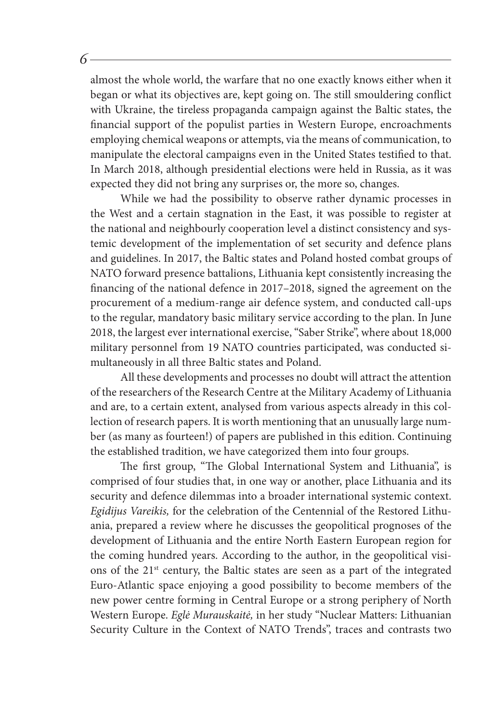almost the whole world, the warfare that no one exactly knows either when it began or what its objectives are, kept going on. The still smouldering conflict with Ukraine, the tireless propaganda campaign against the Baltic states, the financial support of the populist parties in Western Europe, encroachments employing chemical weapons or attempts, via the means of communication, to manipulate the electoral campaigns even in the United States testified to that. In March 2018, although presidential elections were held in Russia, as it was expected they did not bring any surprises or, the more so, changes.

*6*

While we had the possibility to observe rather dynamic processes in the West and a certain stagnation in the East, it was possible to register at the national and neighbourly cooperation level a distinct consistency and systemic development of the implementation of set security and defence plans and guidelines. In 2017, the Baltic states and Poland hosted combat groups of NATO forward presence battalions, Lithuania kept consistently increasing the financing of the national defence in 2017–2018, signed the agreement on the procurement of a medium-range air defence system, and conducted call-ups to the regular, mandatory basic military service according to the plan. In June 2018, the largest ever international exercise, "Saber Strike", where about 18,000 military personnel from 19 NATO countries participated, was conducted simultaneously in all three Baltic states and Poland.

All these developments and processes no doubt will attract the attention of the researchers of the Research Centre at the Military Academy of Lithuania and are, to a certain extent, analysed from various aspects already in this collection of research papers. It is worth mentioning that an unusually large number (as many as fourteen!) of papers are published in this edition. Continuing the established tradition, we have categorized them into four groups.

The first group, "The Global International System and Lithuania", is comprised of four studies that, in one way or another, place Lithuania and its security and defence dilemmas into a broader international systemic context. *Egidijus Vareikis,* for the celebration of the Centennial of the Restored Lithuania, prepared a review where he discusses the geopolitical prognoses of the development of Lithuania and the entire North Eastern European region for the coming hundred years. According to the author, in the geopolitical visions of the 21<sup>st</sup> century, the Baltic states are seen as a part of the integrated Euro-Atlantic space enjoying a good possibility to become members of the new power centre forming in Central Europe or a strong periphery of North Western Europe. *Eglė Murauskaitė,* in her study "Nuclear Matters: Lithuanian Security Culture in the Context of NATO Trends", traces and contrasts two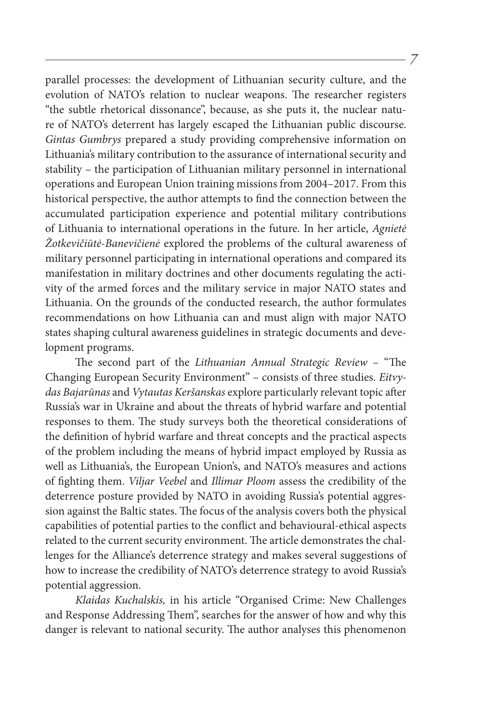parallel processes: the development of Lithuanian security culture, and the evolution of NATO's relation to nuclear weapons. The researcher registers "the subtle rhetorical dissonance", because, as she puts it, the nuclear nature of NATO's deterrent has largely escaped the Lithuanian public discourse. *Gintas Gumbrys* prepared a study providing comprehensive information on Lithuania's military contribution to the assurance of international security and stability – the participation of Lithuanian military personnel in international operations and European Union training missions from 2004–2017. From this historical perspective, the author attempts to find the connection between the accumulated participation experience and potential military contributions of Lithuania to international operations in the future. In her article, *Agnietė Žotkevičiūtė-Banevičienė* explored the problems of the cultural awareness of military personnel participating in international operations and compared its manifestation in military doctrines and other documents regulating the activity of the armed forces and the military service in major NATO states and Lithuania. On the grounds of the conducted research, the author formulates recommendations on how Lithuania can and must align with major NATO states shaping cultural awareness guidelines in strategic documents and development programs.

*7*

The second part of the *Lithuanian Annual Strategic Review* – "The Changing European Security Environment" – consists of three studies. *Eitvydas Bajarūnas* and *Vytautas Keršanskas* explore particularly relevant topic after Russia's war in Ukraine and about the threats of hybrid warfare and potential responses to them. The study surveys both the theoretical considerations of the definition of hybrid warfare and threat concepts and the practical aspects of the problem including the means of hybrid impact employed by Russia as well as Lithuania's, the European Union's, and NATO's measures and actions of fighting them. *Viljar Veebel* and *Illimar Ploom* assess the credibility of the deterrence posture provided by NATO in avoiding Russia's potential aggression against the Baltic states. The focus of the analysis covers both the physical capabilities of potential parties to the conflict and behavioural-ethical aspects related to the current security environment. The article demonstrates the challenges for the Alliance's deterrence strategy and makes several suggestions of how to increase the credibility of NATO's deterrence strategy to avoid Russia's potential aggression.

*Klaidas Kuchalskis,* in his article "Organised Crime: New Challenges and Response Addressing Them", searches for the answer of how and why this danger is relevant to national security. The author analyses this phenomenon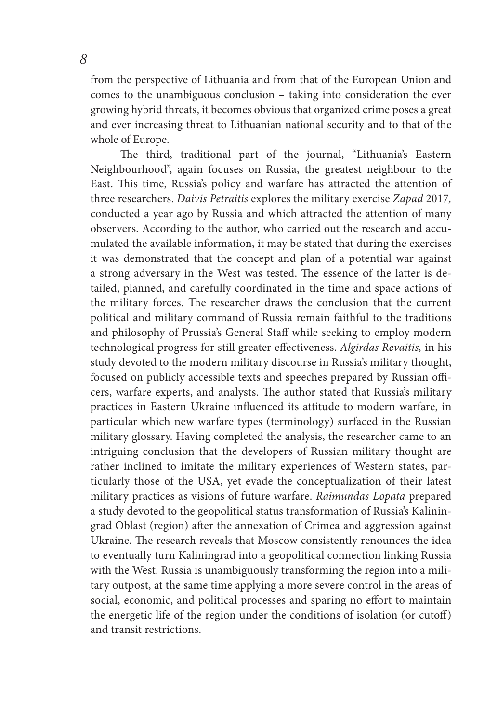from the perspective of Lithuania and from that of the European Union and comes to the unambiguous conclusion – taking into consideration the ever growing hybrid threats, it becomes obvious that organized crime poses a great and ever increasing threat to Lithuanian national security and to that of the whole of Europe.

The third, traditional part of the journal, "Lithuania's Eastern Neighbourhood", again focuses on Russia, the greatest neighbour to the East. This time, Russia's policy and warfare has attracted the attention of three researchers. *Daivis Petraitis* explores the military exercise *Zapad* 2017*,*  conducted a year ago by Russia and which attracted the attention of many observers. According to the author, who carried out the research and accumulated the available information, it may be stated that during the exercises it was demonstrated that the concept and plan of a potential war against a strong adversary in the West was tested. The essence of the latter is detailed, planned, and carefully coordinated in the time and space actions of the military forces. The researcher draws the conclusion that the current political and military command of Russia remain faithful to the traditions and philosophy of Prussia's General Staff while seeking to employ modern technological progress for still greater effectiveness. *Algirdas Revaitis,* in his study devoted to the modern military discourse in Russia's military thought, focused on publicly accessible texts and speeches prepared by Russian officers, warfare experts, and analysts. The author stated that Russia's military practices in Eastern Ukraine influenced its attitude to modern warfare, in particular which new warfare types (terminology) surfaced in the Russian military glossary. Having completed the analysis, the researcher came to an intriguing conclusion that the developers of Russian military thought are rather inclined to imitate the military experiences of Western states, particularly those of the USA, yet evade the conceptualization of their latest military practices as visions of future warfare. *Raimundas Lopata* prepared a study devoted to the geopolitical status transformation of Russia's Kaliningrad Oblast (region) after the annexation of Crimea and aggression against Ukraine. The research reveals that Moscow consistently renounces the idea to eventually turn Kaliningrad into a geopolitical connection linking Russia with the West. Russia is unambiguously transforming the region into a military outpost, at the same time applying a more severe control in the areas of social, economic, and political processes and sparing no effort to maintain the energetic life of the region under the conditions of isolation (or cutoff) and transit restrictions.

*8*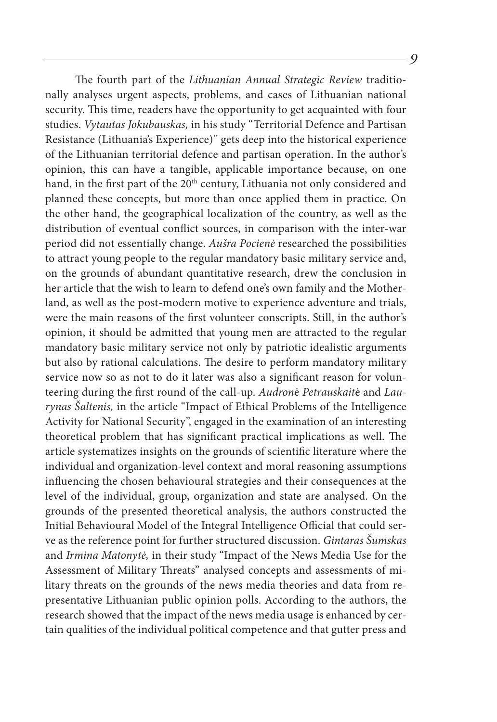The fourth part of the *Lithuanian Annual Strategic Review* traditionally analyses urgent aspects, problems, and cases of Lithuanian national security. This time, readers have the opportunity to get acquainted with four studies. *Vytautas Jokubauskas,* in his study "Territorial Defence and Partisan Resistance (Lithuania's Experience)" gets deep into the historical experience of the Lithuanian territorial defence and partisan operation. In the author's opinion, this can have a tangible, applicable importance because, on one hand, in the first part of the 20<sup>th</sup> century, Lithuania not only considered and planned these concepts, but more than once applied them in practice. On the other hand, the geographical localization of the country, as well as the distribution of eventual conflict sources, in comparison with the inter-war period did not essentially change. *Aušra Pocienė* researched the possibilities to attract young people to the regular mandatory basic military service and, on the grounds of abundant quantitative research, drew the conclusion in her article that the wish to learn to defend one's own family and the Motherland, as well as the post-modern motive to experience adventure and trials, were the main reasons of the first volunteer conscripts. Still, in the author's opinion, it should be admitted that young men are attracted to the regular mandatory basic military service not only by patriotic idealistic arguments but also by rational calculations. The desire to perform mandatory military service now so as not to do it later was also a significant reason for volunteering during the first round of the call-up. *Audron*ė *Petrauskait*ė and *Laurynas Šaltenis,* in the article "Impact of Ethical Problems of the Intelligence Activity for National Security", engaged in the examination of an interesting theoretical problem that has significant practical implications as well. The article systematizes insights on the grounds of scientific literature where the individual and organization-level context and moral reasoning assumptions influencing the chosen behavioural strategies and their consequences at the level of the individual, group, organization and state are analysed. On the grounds of the presented theoretical analysis, the authors constructed the Initial Behavioural Model of the Integral Intelligence Official that could serve as the reference point for further structured discussion. *Gintaras Šumskas* and *Irmina Matonytė,* in their study "Impact of the News Media Use for the Assessment of Military Threats" analysed concepts and assessments of military threats on the grounds of the news media theories and data from representative Lithuanian public opinion polls. According to the authors, the research showed that the impact of the news media usage is enhanced by certain qualities of the individual political competence and that gutter press and

*9*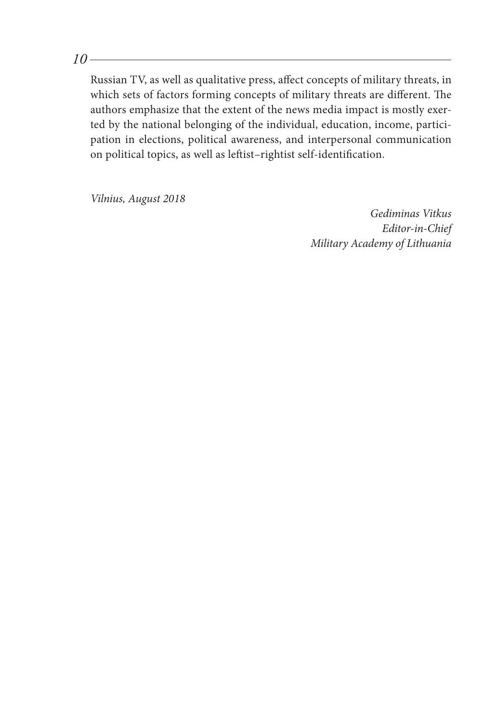*10*

Russian TV, as well as qualitative press, affect concepts of military threats, in which sets of factors forming concepts of military threats are different. The authors emphasize that the extent of the news media impact is mostly exerted by the national belonging of the individual, education, income, participation in elections, political awareness, and interpersonal communication on political topics, as well as leftist–rightist self-identification.

*Vilnius, August 2018*

*Gediminas Vitkus Editor-in-Chief Military Academy of Lithuania*